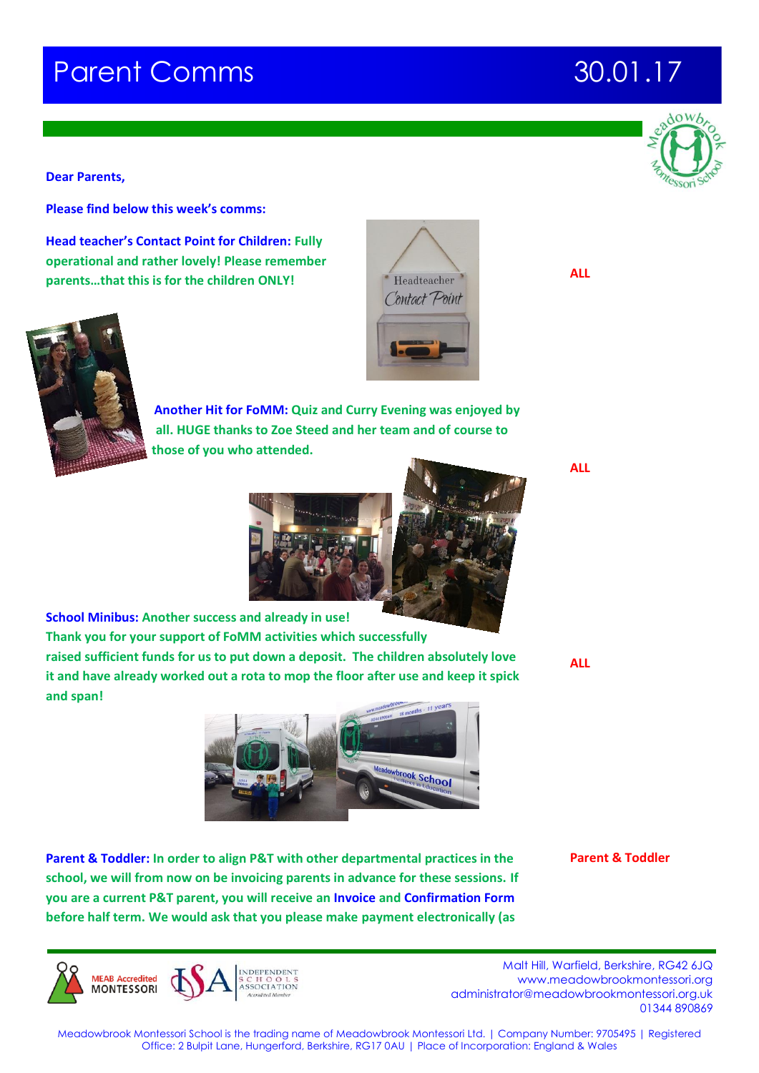# **Parent Comms 30.01.17**

**Dear Parents,**

**Please find below this week's comms:**

**Head teacher's Contact Point for Children: Fully operational and rather lovely! Please remember parents…that this is for the children ONLY!**



**MEAR Accredited MONTESSORI** 

**Another Hit for FoMM: Quiz and Curry Evening was enjoyed by all. HUGE thanks to Zoe Steed and her team and of course to those of you who attended.** 



**vbrook School** 

Headteacher Contact Point

**School Minibus: Another success and already in use! Thank you for your support of FoMM activities which successfully raised sufficient funds for us to put down a deposit. The children absolutely love it and have already worked out a rota to mop the floor after use and keep it spick and span!**

**Parent & Toddler: In order to align P&T with other departmental practices in the school, we will from now on be invoicing parents in advance for these sessions. If you are a current P&T parent, you will receive an Invoice and Confirmation Form before half term. We would ask that you please make payment electronically (as** 

**Parent & Toddler**

 Malt Hill, Warfield, Berkshire, RG42 6JQ www.meadowbrookmontessori.org [administrator@meadowbrookmontessori.org.uk](mailto:administrator@meadowbrookmontessori.org.uk) 01344 890869

Meadowbrook Montessori School is the trading name of Meadowbrook Montessori Ltd. | Company Number: 9705495 | Registered Office: 2 Bulpit Lane, Hungerford, Berkshire, RG17 0AU | Place of Incorporation: England & Wales



**ALL**

**ALL**



**ALL**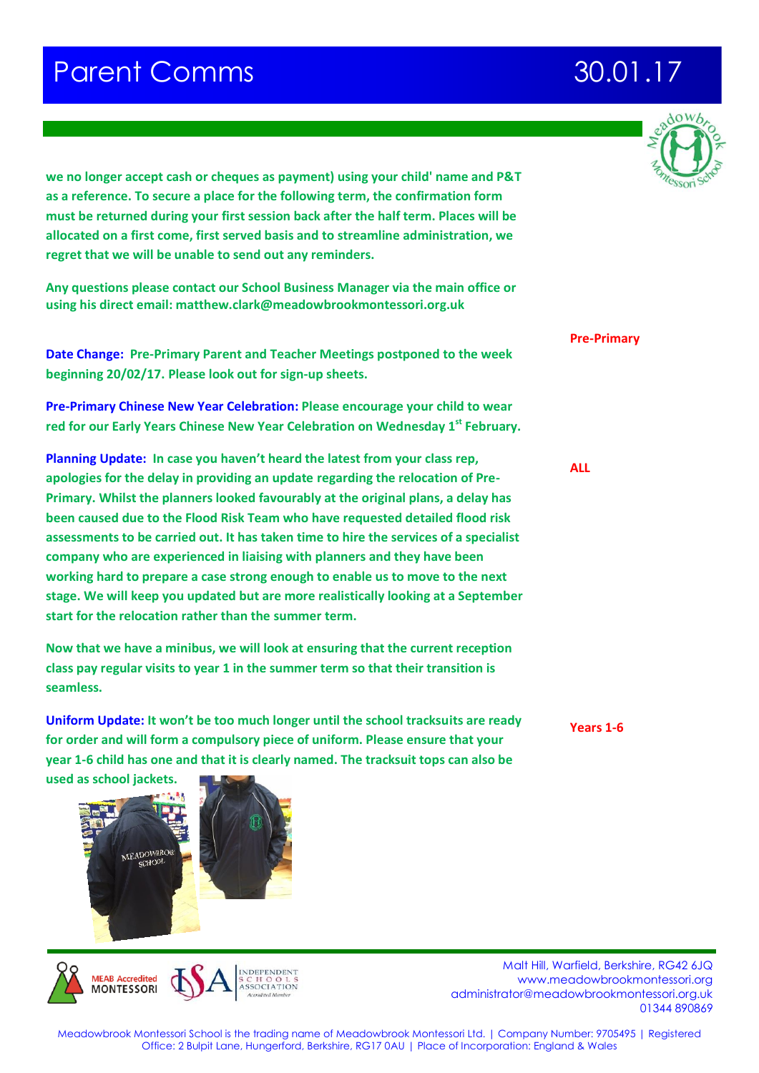## **Parent Comms 30.01.17**

**we no longer accept cash or cheques as payment) using your child' name and P&T as a reference. To secure a place for the following term, the confirmation form must be returned during your first session back after the half term. Places will be allocated on a first come, first served basis and to streamline administration, we regret that we will be unable to send out any reminders.**

**Any questions please contact our School Business Manager via the main office or using his direct email: matthew.clark@meadowbrookmontessori.org.uk**

**Date Change: Pre-Primary Parent and Teacher Meetings postponed to the week beginning 20/02/17. Please look out for sign-up sheets.**

**Pre-Primary Chinese New Year Celebration: Please encourage your child to wear red for our Early Years Chinese New Year Celebration on Wednesday 1st February.**

**Planning Update: In case you haven't heard the latest from your class rep, apologies for the delay in providing an update regarding the relocation of Pre-Primary. Whilst the planners looked favourably at the original plans, a delay has been caused due to the Flood Risk Team who have requested detailed flood risk assessments to be carried out. It has taken time to hire the services of a specialist company who are experienced in liaising with planners and they have been working hard to prepare a case strong enough to enable us to move to the next stage. We will keep you updated but are more realistically looking at a September start for the relocation rather than the summer term.** 

**Now that we have a minibus, we will look at ensuring that the current reception class pay regular visits to year 1 in the summer term so that their transition is seamless.**

**Uniform Update: It won't be too much longer until the school tracksuits are ready for order and will form a compulsory piece of uniform. Please ensure that your year 1-6 child has one and that it is clearly named. The tracksuit tops can also be** 

**used as school jackets.** 





 Malt Hill, Warfield, Berkshire, RG42 6JQ www.meadowbrookmontessori.org [administrator@meadowbrookmontessori.org.uk](mailto:administrator@meadowbrookmontessori.org.uk) 01344 890869

**Pre-Primary**

**ALL**

**Years 1-6**